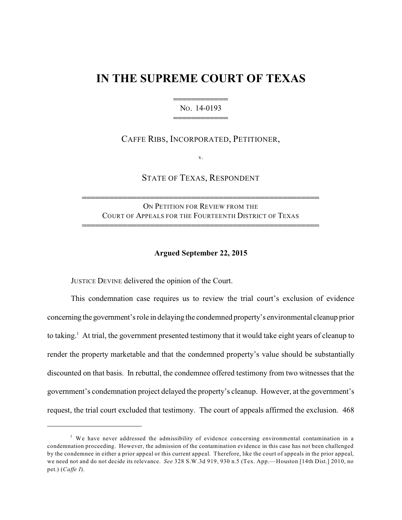# **IN THE SUPREME COURT OF TEXAS**

444444444444 NO. 14-0193 444444444444

CAFFE RIBS, INCORPORATED, PETITIONER,

v.

STATE OF TEXAS, RESPONDENT

ON PETITION FOR REVIEW FROM THE COURT OF APPEALS FOR THE FOURTEENTH DISTRICT OF TEXAS

4444444444444444444444444444444444444444444444444444

4444444444444444444444444444444444444444444444444444

#### **Argued September 22, 2015**

JUSTICE DEVINE delivered the opinion of the Court.

This condemnation case requires us to review the trial court's exclusion of evidence concerning the government's role in delaying the condemned property's environmental cleanup prior to taking.<sup>1</sup> At trial, the government presented testimony that it would take eight years of cleanup to render the property marketable and that the condemned property's value should be substantially discounted on that basis. In rebuttal, the condemnee offered testimony from two witnesses that the government's condemnation project delayed the property's cleanup. However, at the government's request, the trial court excluded that testimony. The court of appeals affirmed the exclusion. 468

<sup>&</sup>lt;sup>1</sup> We have never addressed the admissibility of evidence concerning environmental contamination in a condemnation proceeding. However, the admission of the contamination evidence in this case has not been challenged by the condemnee in either a prior appeal or this current appeal. Therefore, like the court of appeals in the prior appeal, we need not and do not decide its relevance. *See* 328 S.W.3d 919, 930 n.5 (Tex. App.—Houston [14th Dist.] 2010, no pet.) (*Caffe I*).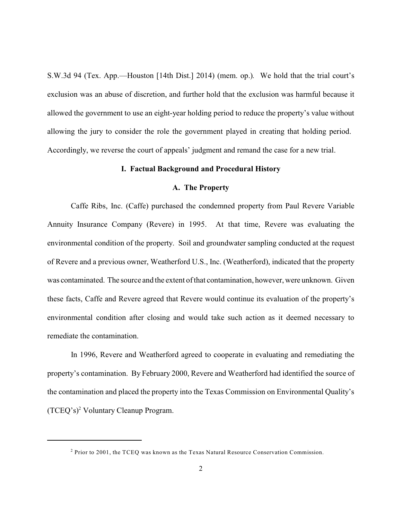S.W.3d 94 (Tex. App.—Houston [14th Dist.] 2014) (mem. op.)*.* We hold that the trial court's exclusion was an abuse of discretion, and further hold that the exclusion was harmful because it allowed the government to use an eight-year holding period to reduce the property's value without allowing the jury to consider the role the government played in creating that holding period. Accordingly, we reverse the court of appeals' judgment and remand the case for a new trial.

## **I. Factual Background and Procedural History**

## **A. The Property**

Caffe Ribs, Inc. (Caffe) purchased the condemned property from Paul Revere Variable Annuity Insurance Company (Revere) in 1995. At that time, Revere was evaluating the environmental condition of the property. Soil and groundwater sampling conducted at the request of Revere and a previous owner, Weatherford U.S., Inc. (Weatherford), indicated that the property was contaminated. The source and the extent of that contamination, however, were unknown. Given these facts, Caffe and Revere agreed that Revere would continue its evaluation of the property's environmental condition after closing and would take such action as it deemed necessary to remediate the contamination.

In 1996, Revere and Weatherford agreed to cooperate in evaluating and remediating the property's contamination. By February 2000, Revere and Weatherford had identified the source of the contamination and placed the property into the Texas Commission on Environmental Quality's  $(TCEQ's)^2$  Voluntary Cleanup Program.

 $^2$  Prior to 2001, the TCEQ was known as the Texas Natural Resource Conservation Commission.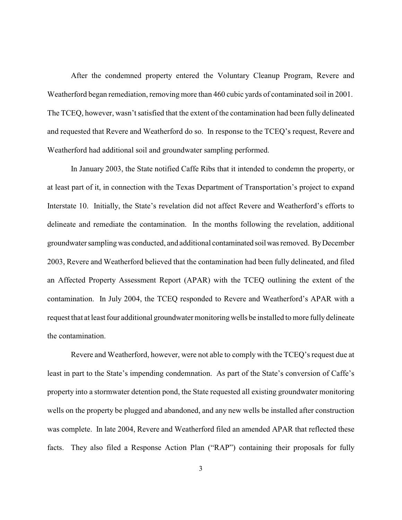After the condemned property entered the Voluntary Cleanup Program, Revere and Weatherford began remediation, removing more than 460 cubic yards of contaminated soil in 2001. The TCEQ, however, wasn't satisfied that the extent of the contamination had been fully delineated and requested that Revere and Weatherford do so. In response to the TCEQ's request, Revere and Weatherford had additional soil and groundwater sampling performed.

In January 2003, the State notified Caffe Ribs that it intended to condemn the property, or at least part of it, in connection with the Texas Department of Transportation's project to expand Interstate 10. Initially, the State's revelation did not affect Revere and Weatherford's efforts to delineate and remediate the contamination. In the months following the revelation, additional groundwater sampling was conducted, and additional contaminated soilwas removed. ByDecember 2003, Revere and Weatherford believed that the contamination had been fully delineated, and filed an Affected Property Assessment Report (APAR) with the TCEQ outlining the extent of the contamination. In July 2004, the TCEQ responded to Revere and Weatherford's APAR with a request that at least four additional groundwater monitoring wells be installed to more fully delineate the contamination.

Revere and Weatherford, however, were not able to comply with the TCEQ's request due at least in part to the State's impending condemnation. As part of the State's conversion of Caffe's property into a stormwater detention pond, the State requested all existing groundwater monitoring wells on the property be plugged and abandoned, and any new wells be installed after construction was complete. In late 2004, Revere and Weatherford filed an amended APAR that reflected these facts. They also filed a Response Action Plan ("RAP") containing their proposals for fully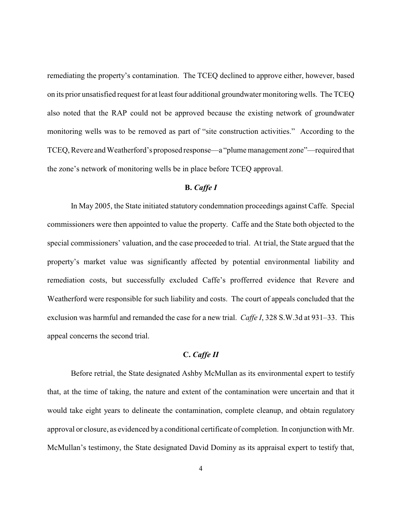remediating the property's contamination. The TCEQ declined to approve either, however, based on its prior unsatisfied request for at least four additional groundwater monitoring wells. The TCEQ also noted that the RAP could not be approved because the existing network of groundwater monitoring wells was to be removed as part of "site construction activities." According to the TCEQ, Revere and Weatherford's proposed response—a "plume management zone"—required that the zone's network of monitoring wells be in place before TCEQ approval.

# **B.** *Caffe I*

In May 2005, the State initiated statutory condemnation proceedings against Caffe. Special commissioners were then appointed to value the property. Caffe and the State both objected to the special commissioners' valuation, and the case proceeded to trial. At trial, the State argued that the property's market value was significantly affected by potential environmental liability and remediation costs, but successfully excluded Caffe's profferred evidence that Revere and Weatherford were responsible for such liability and costs. The court of appeals concluded that the exclusion was harmful and remanded the case for a new trial. *Caffe I*, 328 S.W.3d at 931–33. This appeal concerns the second trial.

## **C.** *Caffe II*

Before retrial, the State designated Ashby McMullan as its environmental expert to testify that, at the time of taking, the nature and extent of the contamination were uncertain and that it would take eight years to delineate the contamination, complete cleanup, and obtain regulatory approval or closure, as evidenced bya conditional certificate of completion. In conjunction with Mr. McMullan's testimony, the State designated David Dominy as its appraisal expert to testify that,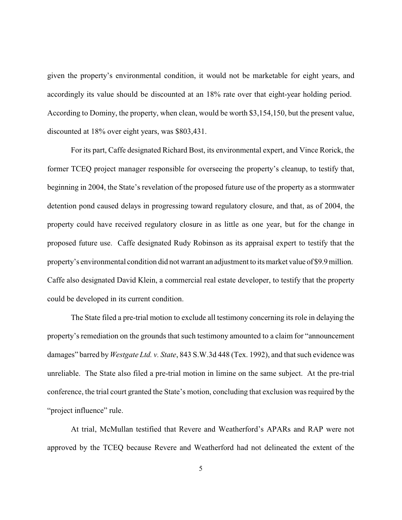given the property's environmental condition, it would not be marketable for eight years, and accordingly its value should be discounted at an 18% rate over that eight-year holding period. According to Dominy, the property, when clean, would be worth \$3,154,150, but the present value, discounted at 18% over eight years, was \$803,431.

For its part, Caffe designated Richard Bost, its environmental expert, and Vince Rorick, the former TCEQ project manager responsible for overseeing the property's cleanup, to testify that, beginning in 2004, the State's revelation of the proposed future use of the property as a stormwater detention pond caused delays in progressing toward regulatory closure, and that, as of 2004, the property could have received regulatory closure in as little as one year, but for the change in proposed future use. Caffe designated Rudy Robinson as its appraisal expert to testify that the property's environmental condition did not warrant an adjustment to its market value of \$9.9million. Caffe also designated David Klein, a commercial real estate developer, to testify that the property could be developed in its current condition.

The State filed a pre-trial motion to exclude all testimony concerning its role in delaying the property's remediation on the grounds that such testimony amounted to a claim for "announcement damages" barred by *Westgate Ltd. v. State*, 843 S.W.3d 448 (Tex. 1992), and that such evidence was unreliable. The State also filed a pre-trial motion in limine on the same subject. At the pre-trial conference, the trial court granted the State's motion, concluding that exclusion was required by the "project influence" rule.

At trial, McMullan testified that Revere and Weatherford's APARs and RAP were not approved by the TCEQ because Revere and Weatherford had not delineated the extent of the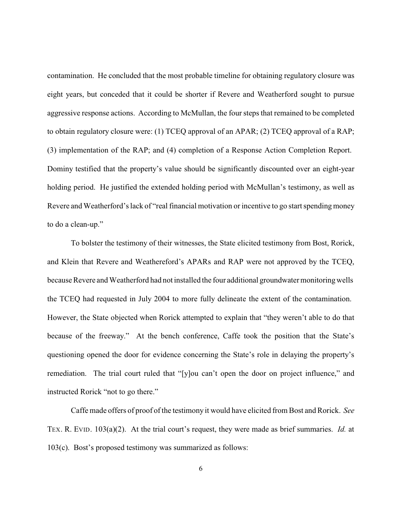contamination. He concluded that the most probable timeline for obtaining regulatory closure was eight years, but conceded that it could be shorter if Revere and Weatherford sought to pursue aggressive response actions. According to McMullan, the four steps that remained to be completed to obtain regulatory closure were: (1) TCEQ approval of an APAR; (2) TCEQ approval of a RAP; (3) implementation of the RAP; and (4) completion of a Response Action Completion Report. Dominy testified that the property's value should be significantly discounted over an eight-year holding period. He justified the extended holding period with McMullan's testimony, as well as Revere and Weatherford's lack of "real financial motivation or incentive to go start spending money to do a clean-up."

To bolster the testimony of their witnesses, the State elicited testimony from Bost, Rorick, and Klein that Revere and Weathereford's APARs and RAP were not approved by the TCEQ, because Revere and Weatherford had not installed the four additional groundwater monitoring wells the TCEQ had requested in July 2004 to more fully delineate the extent of the contamination. However, the State objected when Rorick attempted to explain that "they weren't able to do that because of the freeway." At the bench conference, Caffe took the position that the State's questioning opened the door for evidence concerning the State's role in delaying the property's remediation. The trial court ruled that "[y]ou can't open the door on project influence," and instructed Rorick "not to go there."

Caffe made offers of proof of the testimony it would have elicited from Bost and Rorick. *See* TEX. R. EVID. 103(a)(2). At the trial court's request, they were made as brief summaries. *Id.* at 103(c). Bost's proposed testimony was summarized as follows: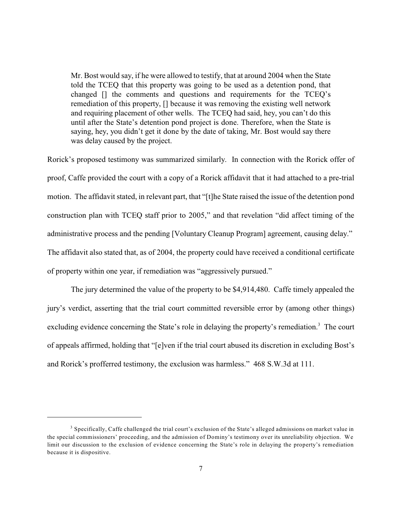Mr. Bost would say, if he were allowed to testify, that at around 2004 when the State told the TCEQ that this property was going to be used as a detention pond, that changed [] the comments and questions and requirements for the TCEQ's remediation of this property, [] because it was removing the existing well network and requiring placement of other wells. The TCEQ had said, hey, you can't do this until after the State's detention pond project is done. Therefore, when the State is saying, hey, you didn't get it done by the date of taking, Mr. Bost would say there was delay caused by the project.

Rorick's proposed testimony was summarized similarly. In connection with the Rorick offer of proof, Caffe provided the court with a copy of a Rorick affidavit that it had attached to a pre-trial motion. The affidavit stated, in relevant part, that "[t]he State raised the issue of the detention pond construction plan with TCEQ staff prior to 2005," and that revelation "did affect timing of the administrative process and the pending [Voluntary Cleanup Program] agreement, causing delay." The affidavit also stated that, as of 2004, the property could have received a conditional certificate of property within one year, if remediation was "aggressively pursued."

The jury determined the value of the property to be \$4,914,480. Caffe timely appealed the jury's verdict, asserting that the trial court committed reversible error by (among other things) excluding evidence concerning the State's role in delaying the property's remediation.<sup>3</sup> The court of appeals affirmed, holding that "[e]ven if the trial court abused its discretion in excluding Bost's and Rorick's profferred testimony, the exclusion was harmless." 468 S.W.3d at 111.

 $3$  Specifically, Caffe challenged the trial court's exclusion of the State's alleged admissions on market value in the special commissioners' proceeding, and the admission of Dominy's testimony over its unreliability objection. We limit our discussion to the exclusion of evidence concerning the State's role in delaying the property's remediation because it is dispositive.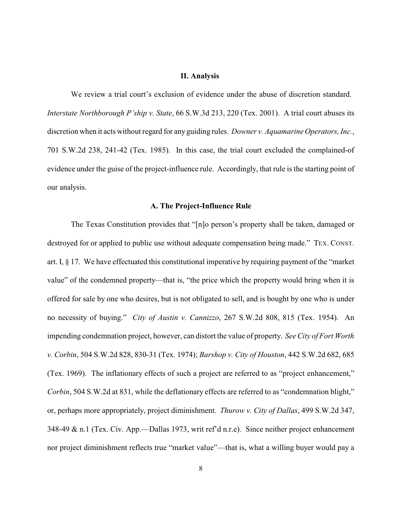#### **II. Analysis**

We review a trial court's exclusion of evidence under the abuse of discretion standard. *Interstate Northborough P'ship v. State*, 66 S.W.3d 213, 220 (Tex. 2001). A trial court abuses its discretion when it acts without regard for any guiding rules. *Downer v. Aquamarine Operators, Inc.*, 701 S.W.2d 238, 241-42 (Tex. 1985). In this case, the trial court excluded the complained-of evidence under the guise of the project-influence rule. Accordingly, that rule is the starting point of our analysis.

#### **A. The Project-Influence Rule**

The Texas Constitution provides that "[n]o person's property shall be taken, damaged or destroyed for or applied to public use without adequate compensation being made." TEX. CONST. art. I, § 17. We have effectuated this constitutional imperative by requiring payment of the "market value" of the condemned property—that is, "the price which the property would bring when it is offered for sale by one who desires, but is not obligated to sell, and is bought by one who is under no necessity of buying." *City of Austin v. Cannizzo*, 267 S.W.2d 808, 815 (Tex. 1954). An impending condemnation project, however, can distort the value of property. *See City of Fort Worth v. Corbin*, 504 S.W.2d 828, 830-31 (Tex. 1974); *Barshop v. City of Houston*, 442 S.W.2d 682, 685 (Tex. 1969). The inflationary effects of such a project are referred to as "project enhancement," *Corbin*, 504 S.W.2d at 831, while the deflationary effects are referred to as "condemnation blight," or, perhaps more appropriately, project diminishment. *Thurow v. City of Dallas*, 499 S.W.2d 347, 348-49 & n.1 (Tex. Civ. App.—Dallas 1973, writ ref'd n.r.e). Since neither project enhancement nor project diminishment reflects true "market value"—that is, what a willing buyer would pay a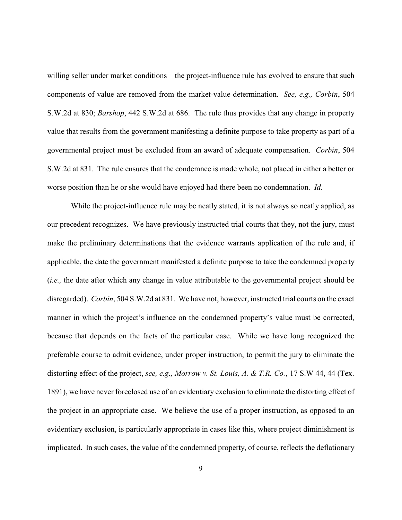willing seller under market conditions—the project-influence rule has evolved to ensure that such components of value are removed from the market-value determination. *See, e.g., Corbin*, 504 S.W.2d at 830; *Barshop*, 442 S.W.2d at 686. The rule thus provides that any change in property value that results from the government manifesting a definite purpose to take property as part of a governmental project must be excluded from an award of adequate compensation. *Corbin*, 504 S.W.2d at 831. The rule ensures that the condemnee is made whole, not placed in either a better or worse position than he or she would have enjoyed had there been no condemnation. *Id.* 

While the project-influence rule may be neatly stated, it is not always so neatly applied, as our precedent recognizes. We have previously instructed trial courts that they, not the jury, must make the preliminary determinations that the evidence warrants application of the rule and, if applicable, the date the government manifested a definite purpose to take the condemned property (*i.e.,* the date after which any change in value attributable to the governmental project should be disregarded). *Corbin*, 504 S.W.2d at 831. We have not, however, instructed trial courts on the exact manner in which the project's influence on the condemned property's value must be corrected, because that depends on the facts of the particular case. While we have long recognized the preferable course to admit evidence, under proper instruction, to permit the jury to eliminate the distorting effect of the project, *see, e.g., Morrow v. St. Louis, A. & T.R. Co.*, 17 S.W 44, 44 (Tex. 1891), we have never foreclosed use of an evidentiary exclusion to eliminate the distorting effect of the project in an appropriate case. We believe the use of a proper instruction, as opposed to an evidentiary exclusion, is particularly appropriate in cases like this, where project diminishment is implicated. In such cases, the value of the condemned property, of course, reflects the deflationary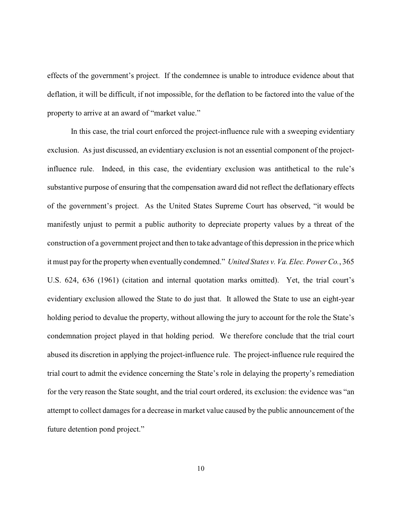effects of the government's project. If the condemnee is unable to introduce evidence about that deflation, it will be difficult, if not impossible, for the deflation to be factored into the value of the property to arrive at an award of "market value."

In this case, the trial court enforced the project-influence rule with a sweeping evidentiary exclusion. As just discussed, an evidentiary exclusion is not an essential component of the projectinfluence rule. Indeed, in this case, the evidentiary exclusion was antithetical to the rule's substantive purpose of ensuring that the compensation award did not reflect the deflationary effects of the government's project. As the United States Supreme Court has observed, "it would be manifestly unjust to permit a public authority to depreciate property values by a threat of the construction of a government project and then to take advantage of this depression in the price which it must pay for the propertywhen eventually condemned." *United States v. Va. Elec. Power Co.*, 365 U.S. 624, 636 (1961) (citation and internal quotation marks omitted). Yet, the trial court's evidentiary exclusion allowed the State to do just that. It allowed the State to use an eight-year holding period to devalue the property, without allowing the jury to account for the role the State's condemnation project played in that holding period. We therefore conclude that the trial court abused its discretion in applying the project-influence rule. The project-influence rule required the trial court to admit the evidence concerning the State's role in delaying the property's remediation for the very reason the State sought, and the trial court ordered, its exclusion: the evidence was "an attempt to collect damages for a decrease in market value caused by the public announcement of the future detention pond project."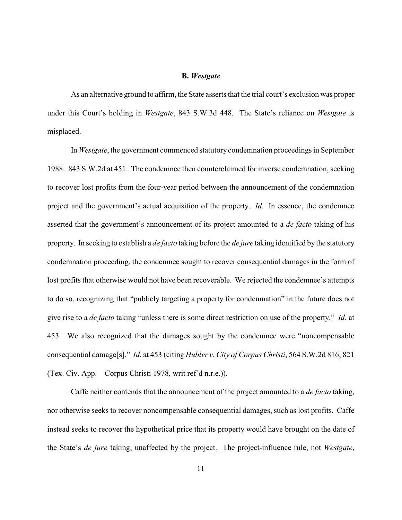#### **B.** *Westgate*

As an alternative ground to affirm, the State asserts that the trial court's exclusion was proper under this Court's holding in *Westgate*, 843 S.W.3d 448. The State's reliance on *Westgate* is misplaced.

In *Westgate*, the government commenced statutory condemnation proceedings in September 1988. 843 S.W.2d at 451. The condemnee then counterclaimed for inverse condemnation, seeking to recover lost profits from the four-year period between the announcement of the condemnation project and the government's actual acquisition of the property. *Id.* In essence, the condemnee asserted that the government's announcement of its project amounted to a *de facto* taking of his property. In seeking to establish a *de facto* taking before the *de jure* taking identified by the statutory condemnation proceeding, the condemnee sought to recover consequential damages in the form of lost profits that otherwise would not have been recoverable. We rejected the condemnee's attempts to do so, recognizing that "publicly targeting a property for condemnation" in the future does not give rise to a *de facto* taking "unless there is some direct restriction on use of the property." *Id.* at 453. We also recognized that the damages sought by the condemnee were "noncompensable consequential damage[s]." *Id*. at 453 (citing *Hubler v. City of Corpus Christi*, 564 S.W.2d 816, 821 (Tex. Civ. App.—Corpus Christi 1978, writ ref'd n.r.e.)).

Caffe neither contends that the announcement of the project amounted to a *de facto* taking, nor otherwise seeks to recover noncompensable consequential damages, such as lost profits. Caffe instead seeks to recover the hypothetical price that its property would have brought on the date of the State's *de jure* taking, unaffected by the project. The project-influence rule, not *Westgate*,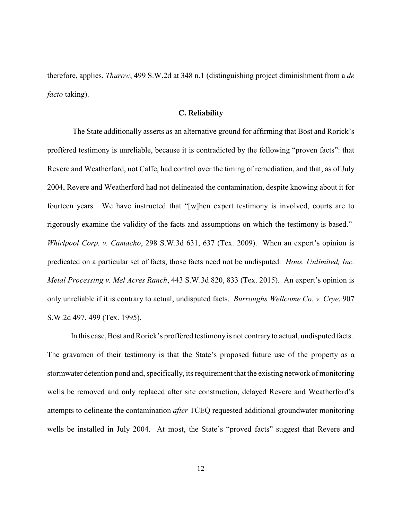therefore, applies. *Thurow*, 499 S.W.2d at 348 n.1 (distinguishing project diminishment from a *de facto* taking).

#### **C. Reliability**

The State additionally asserts as an alternative ground for affirming that Bost and Rorick's proffered testimony is unreliable, because it is contradicted by the following "proven facts": that Revere and Weatherford, not Caffe, had control over the timing of remediation, and that, as of July 2004, Revere and Weatherford had not delineated the contamination, despite knowing about it for fourteen years. We have instructed that "[w]hen expert testimony is involved, courts are to rigorously examine the validity of the facts and assumptions on which the testimony is based." *Whirlpool Corp. v. Camacho*, 298 S.W.3d 631, 637 (Tex. 2009). When an expert's opinion is predicated on a particular set of facts, those facts need not be undisputed. *Hous. Unlimited, Inc. Metal Processing v. Mel Acres Ranch*, 443 S.W.3d 820, 833 (Tex. 2015). An expert's opinion is only unreliable if it is contrary to actual, undisputed facts. *Burroughs Wellcome Co. v. Crye*, 907 S.W.2d 497, 499 (Tex. 1995).

In this case, Bost and Rorick's proffered testimony is not contraryto actual, undisputed facts. The gravamen of their testimony is that the State's proposed future use of the property as a stormwater detention pond and, specifically, its requirement that the existing network of monitoring wells be removed and only replaced after site construction, delayed Revere and Weatherford's attempts to delineate the contamination *after* TCEQ requested additional groundwater monitoring wells be installed in July 2004. At most, the State's "proved facts" suggest that Revere and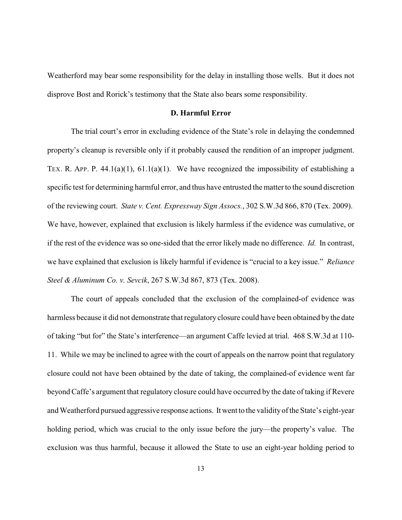Weatherford may bear some responsibility for the delay in installing those wells. But it does not disprove Bost and Rorick's testimony that the State also bears some responsibility.

## **D. Harmful Error**

The trial court's error in excluding evidence of the State's role in delaying the condemned property's cleanup is reversible only if it probably caused the rendition of an improper judgment. TEX. R. APP. P.  $44.1(a)(1)$ ,  $61.1(a)(1)$ . We have recognized the impossibility of establishing a specific test for determining harmful error, and thus have entrusted the matter to the sound discretion of the reviewing court. *State v. Cent. Expressway Sign Assocs.*, 302 S.W.3d 866, 870 (Tex. 2009). We have, however, explained that exclusion is likely harmless if the evidence was cumulative, or if the rest of the evidence was so one-sided that the error likely made no difference. *Id.* In contrast, we have explained that exclusion is likely harmful if evidence is "crucial to a key issue." *Reliance Steel & Aluminum Co. v. Sevcik*, 267 S.W.3d 867, 873 (Tex. 2008).

The court of appeals concluded that the exclusion of the complained-of evidence was harmless because it did not demonstrate that regulatory closure could have been obtained by the date of taking "but for" the State's interference—an argument Caffe levied at trial. 468 S.W.3d at 110- 11. While we may be inclined to agree with the court of appeals on the narrow point that regulatory closure could not have been obtained by the date of taking, the complained-of evidence went far beyond Caffe's argument that regulatory closure could have occurred by the date of taking if Revere and Weatherford pursued aggressive response actions. It went to the validityof the State's eight-year holding period, which was crucial to the only issue before the jury—the property's value. The exclusion was thus harmful, because it allowed the State to use an eight-year holding period to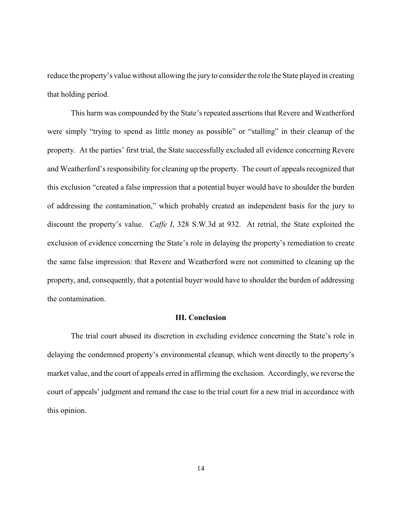reduce the property's value without allowing the jury to consider the role the State played in creating that holding period.

This harm was compounded by the State's repeated assertions that Revere and Weatherford were simply "trying to spend as little money as possible" or "stalling" in their cleanup of the property. At the parties' first trial, the State successfully excluded all evidence concerning Revere and Weatherford's responsibility for cleaning up the property. The court of appeals recognized that this exclusion "created a false impression that a potential buyer would have to shoulder the burden of addressing the contamination," which probably created an independent basis for the jury to discount the property's value. *Caffe I*, 328 S.W.3d at 932. At retrial, the State exploited the exclusion of evidence concerning the State's role in delaying the property's remediation to create the same false impression: that Revere and Weatherford were not committed to cleaning up the property, and, consequently, that a potential buyer would have to shoulder the burden of addressing the contamination.

## **III. Conclusion**

The trial court abused its discretion in excluding evidence concerning the State's role in delaying the condemned property's environmental cleanup, which went directly to the property's market value, and the court of appeals erred in affirming the exclusion. Accordingly, we reverse the court of appeals' judgment and remand the case to the trial court for a new trial in accordance with this opinion.